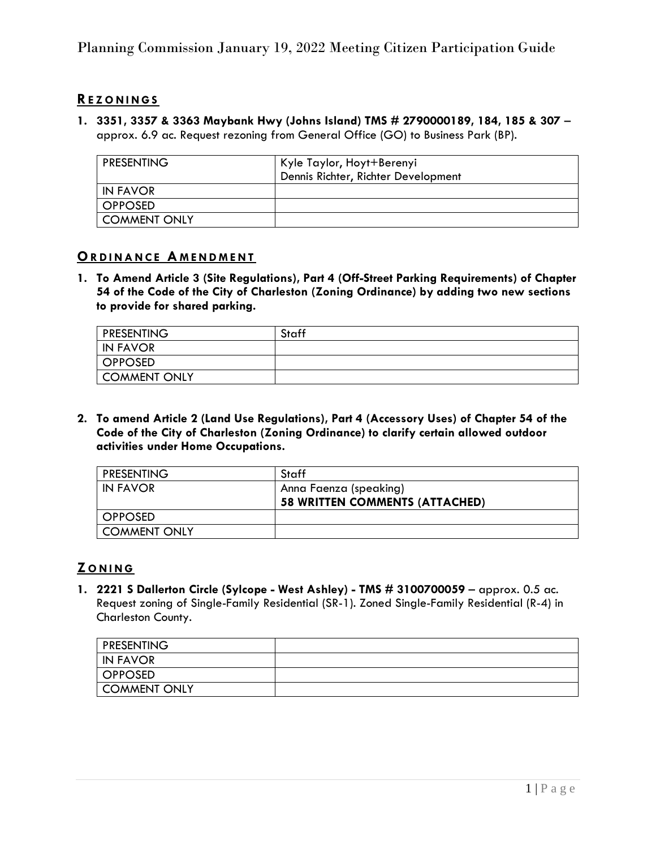# **RE Z O N I N G S**

**1. 3351, 3357 & 3363 Maybank Hwy (Johns Island) TMS # 2790000189, 184, 185 & 307** – approx. 6.9 ac. Request rezoning from General Office (GO) to Business Park (BP).

| <b>PRESENTING</b>   | Kyle Taylor, Hoyt+Berenyi<br>Dennis Richter, Richter Development |
|---------------------|------------------------------------------------------------------|
| IN FAVOR            |                                                                  |
| <b>OPPOSED</b>      |                                                                  |
| <b>COMMENT ONLY</b> |                                                                  |

#### **ORDINANCE AMENDMENT**

**1. To Amend Article 3 (Site Regulations), Part 4 (Off-Street Parking Requirements) of Chapter 54 of the Code of the City of Charleston (Zoning Ordinance) by adding two new sections to provide for shared parking.**

| <b>PRESENTING</b> | Staff |
|-------------------|-------|
| <b>IN FAVOR</b>   |       |
| <b>OPPOSED</b>    |       |
| COMMENT ONLY      |       |

**2. To amend Article 2 (Land Use Regulations), Part 4 (Accessory Uses) of Chapter 54 of the Code of the City of Charleston (Zoning Ordinance) to clarify certain allowed outdoor activities under Home Occupations.**

| <b>PRESENTING</b>   | Staff                                 |
|---------------------|---------------------------------------|
| IN FAVOR            | Anna Faenza (speaking)                |
|                     | <b>58 WRITTEN COMMENTS (ATTACHED)</b> |
| <b>OPPOSED</b>      |                                       |
| <b>COMMENT ONLY</b> |                                       |

# **Z O N I N G**

**1. 2221 S Dallerton Circle (Sylcope - West Ashley) - TMS # 3100700059** – approx. 0.5 ac. Request zoning of Single-Family Residential (SR-1). Zoned Single-Family Residential (R-4) in Charleston County.

| <b>PRESENTING</b> |  |
|-------------------|--|
| I IN FAVOR        |  |
| OPPOSED           |  |
| COMMENT ONLY      |  |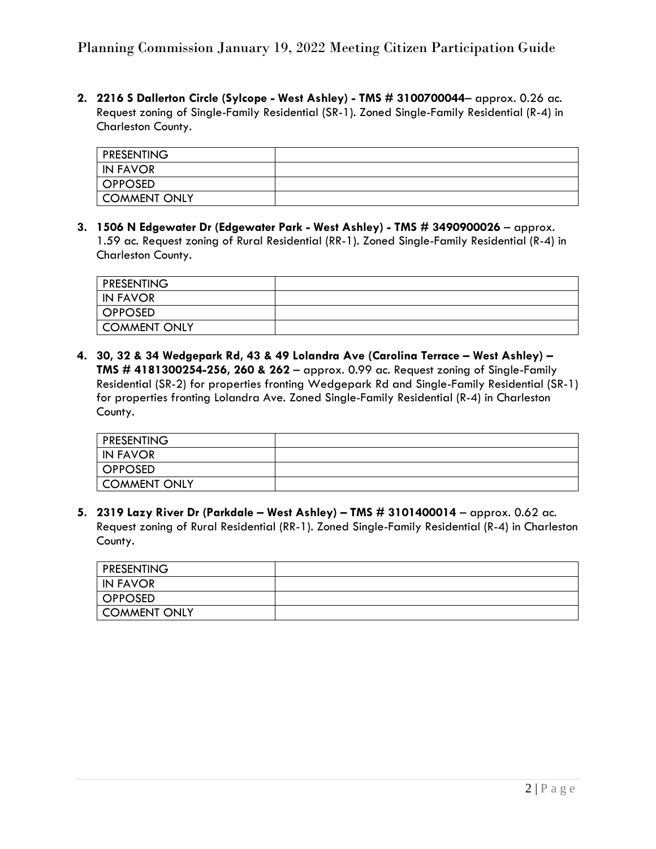### Planning Commission January 19, 2022 Meeting Citizen Participation Guide

**2. 2216 S Dallerton Circle (Sylcope - West Ashley) - TMS # 3100700044**– approx. 0.26 ac. Request zoning of Single-Family Residential (SR-1). Zoned Single-Family Residential (R-4) in Charleston County.

| <b>PRESENTING</b> |  |
|-------------------|--|
| <b>IN FAVOR</b>   |  |
| OPPOSED           |  |
| COMMENT ONLY      |  |

**3. 1506 N Edgewater Dr (Edgewater Park - West Ashley) - TMS # 3490900026** – approx. 1.59 ac. Request zoning of Rural Residential (RR-1). Zoned Single-Family Residential (R-4) in Charleston County.

| <b>PRESENTING</b> |  |
|-------------------|--|
| <b>IN FAVOR</b>   |  |
| OPPOSED           |  |
| COMMENT ONLY      |  |

**4. 30, 32 & 34 Wedgepark Rd, 43 & 49 Lolandra Ave (Carolina Terrace – West Ashley) – TMS # 4181300254-256, 260 & 262** – approx. 0.99 ac. Request zoning of Single-Family Residential (SR-2) for properties fronting Wedgepark Rd and Single-Family Residential (SR-1) for properties fronting Lolandra Ave. Zoned Single-Family Residential (R-4) in Charleston County.

| <b>PRESENTING</b> |  |
|-------------------|--|
| IN FAVOR          |  |
| <b>OPPOSED</b>    |  |
| COMMENT ONLY      |  |

**5. 2319 Lazy River Dr (Parkdale – West Ashley) – TMS # 3101400014** – approx. 0.62 ac. Request zoning of Rural Residential (RR-1). Zoned Single-Family Residential (R-4) in Charleston County.

| <b>PRESENTING</b> |  |
|-------------------|--|
| IN FAVOR          |  |
| OPPOSED           |  |
| COMMENT ONLY      |  |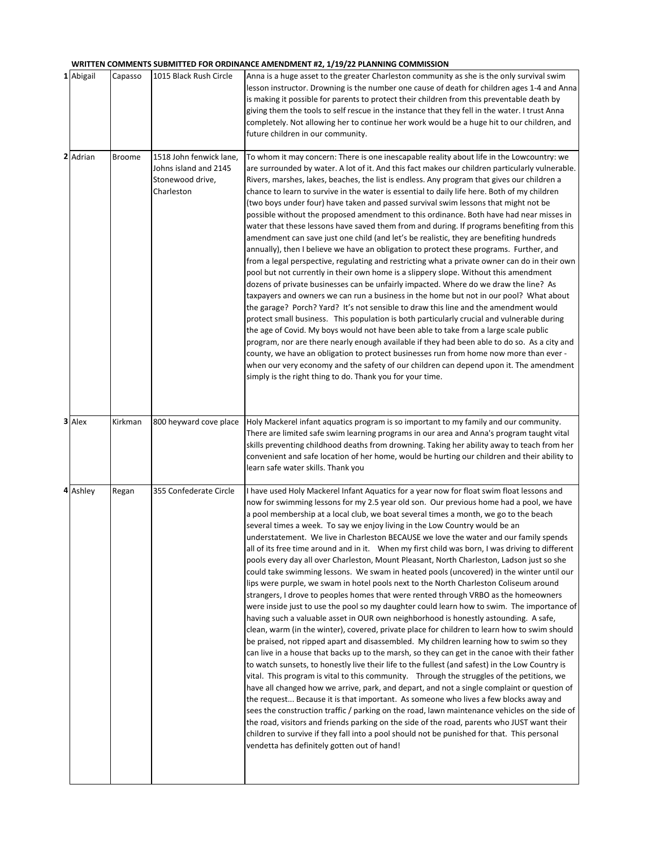#### **WRITTEN COMMENTS SUBMITTED FOR ORDINANCE AMENDMENT #2, 1/19/22 PLANNING COMMISSION**

| 1 Abigail | Capasso       | 1015 Black Rush Circle                                                             | Anna is a huge asset to the greater Charleston community as she is the only survival swim<br>lesson instructor. Drowning is the number one cause of death for children ages 1-4 and Anna<br>is making it possible for parents to protect their children from this preventable death by<br>giving them the tools to self rescue in the instance that they fell in the water. I trust Anna<br>completely. Not allowing her to continue her work would be a huge hit to our children, and<br>future children in our community.                                                                                                                                                                                                                                                                                                                                                                                                                                                                                                                                                                                                                                                                                                                                                                                                                                                                                                                                                                                                                                                                                                                                                                                                                                                                                                                                                                                                                                                                                                                                                                                                                               |
|-----------|---------------|------------------------------------------------------------------------------------|-----------------------------------------------------------------------------------------------------------------------------------------------------------------------------------------------------------------------------------------------------------------------------------------------------------------------------------------------------------------------------------------------------------------------------------------------------------------------------------------------------------------------------------------------------------------------------------------------------------------------------------------------------------------------------------------------------------------------------------------------------------------------------------------------------------------------------------------------------------------------------------------------------------------------------------------------------------------------------------------------------------------------------------------------------------------------------------------------------------------------------------------------------------------------------------------------------------------------------------------------------------------------------------------------------------------------------------------------------------------------------------------------------------------------------------------------------------------------------------------------------------------------------------------------------------------------------------------------------------------------------------------------------------------------------------------------------------------------------------------------------------------------------------------------------------------------------------------------------------------------------------------------------------------------------------------------------------------------------------------------------------------------------------------------------------------------------------------------------------------------------------------------------------|
| 2 Adrian  | <b>Broome</b> | 1518 John fenwick lane,<br>Johns island and 2145<br>Stonewood drive,<br>Charleston | To whom it may concern: There is one inescapable reality about life in the Lowcountry: we<br>are surrounded by water. A lot of it. And this fact makes our children particularly vulnerable.<br>Rivers, marshes, lakes, beaches, the list is endless. Any program that gives our children a<br>chance to learn to survive in the water is essential to daily life here. Both of my children<br>(two boys under four) have taken and passed survival swim lessons that might not be<br>possible without the proposed amendment to this ordinance. Both have had near misses in<br>water that these lessons have saved them from and during. If programs benefiting from this<br>amendment can save just one child (and let's be realistic, they are benefiting hundreds<br>annually), then I believe we have an obligation to protect these programs. Further, and<br>from a legal perspective, regulating and restricting what a private owner can do in their own<br>pool but not currently in their own home is a slippery slope. Without this amendment<br>dozens of private businesses can be unfairly impacted. Where do we draw the line? As<br>taxpayers and owners we can run a business in the home but not in our pool? What about<br>the garage? Porch? Yard? It's not sensible to draw this line and the amendment would<br>protect small business. This population is both particularly crucial and vulnerable during<br>the age of Covid. My boys would not have been able to take from a large scale public<br>program, nor are there nearly enough available if they had been able to do so. As a city and<br>county, we have an obligation to protect businesses run from home now more than ever -<br>when our very economy and the safety of our children can depend upon it. The amendment<br>simply is the right thing to do. Thank you for your time.                                                                                                                                                                                                                                                                               |
| 3 Alex    | Kirkman       | 800 heyward cove place                                                             | Holy Mackerel infant aquatics program is so important to my family and our community.<br>There are limited safe swim learning programs in our area and Anna's program taught vital<br>skills preventing childhood deaths from drowning. Taking her ability away to teach from her<br>convenient and safe location of her home, would be hurting our children and their ability to<br>learn safe water skills. Thank you                                                                                                                                                                                                                                                                                                                                                                                                                                                                                                                                                                                                                                                                                                                                                                                                                                                                                                                                                                                                                                                                                                                                                                                                                                                                                                                                                                                                                                                                                                                                                                                                                                                                                                                                   |
| 4 Ashley  | Regan         | 355 Confederate Circle                                                             | I have used Holy Mackerel Infant Aquatics for a year now for float swim float lessons and<br>now for swimming lessons for my 2.5 year old son. Our previous home had a pool, we have<br>a pool membership at a local club, we boat several times a month, we go to the beach<br>several times a week. To say we enjoy living in the Low Country would be an<br>understatement. We live in Charleston BECAUSE we love the water and our family spends<br>all of its free time around and in it. When my first child was born, I was driving to different<br>pools every day all over Charleston, Mount Pleasant, North Charleston, Ladson just so she<br>could take swimming lessons. We swam in heated pools (uncovered) in the winter until our<br>lips were purple, we swam in hotel pools next to the North Charleston Coliseum around<br>strangers, I drove to peoples homes that were rented through VRBO as the homeowners<br>were inside just to use the pool so my daughter could learn how to swim. The importance of<br>having such a valuable asset in OUR own neighborhood is honestly astounding. A safe,<br>clean, warm (in the winter), covered, private place for children to learn how to swim should<br>be praised, not ripped apart and disassembled. My children learning how to swim so they<br>can live in a house that backs up to the marsh, so they can get in the canoe with their father<br>to watch sunsets, to honestly live their life to the fullest (and safest) in the Low Country is<br>vital. This program is vital to this community. Through the struggles of the petitions, we<br>have all changed how we arrive, park, and depart, and not a single complaint or question of<br>the request Because it is that important. As someone who lives a few blocks away and<br>sees the construction traffic / parking on the road, lawn maintenance vehicles on the side of<br>the road, visitors and friends parking on the side of the road, parents who JUST want their<br>children to survive if they fall into a pool should not be punished for that. This personal<br>vendetta has definitely gotten out of hand! |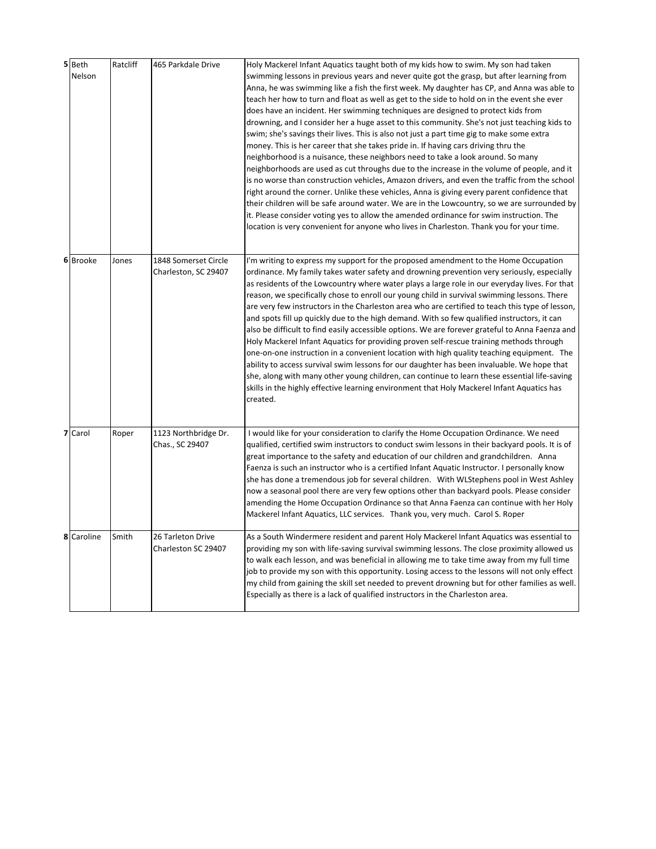| 5 Beth<br>Nelson | Ratcliff | 465 Parkdale Drive                           | Holy Mackerel Infant Aquatics taught both of my kids how to swim. My son had taken<br>swimming lessons in previous years and never quite got the grasp, but after learning from<br>Anna, he was swimming like a fish the first week. My daughter has CP, and Anna was able to<br>teach her how to turn and float as well as get to the side to hold on in the event she ever<br>does have an incident. Her swimming techniques are designed to protect kids from<br>drowning, and I consider her a huge asset to this community. She's not just teaching kids to<br>swim; she's savings their lives. This is also not just a part time gig to make some extra<br>money. This is her career that she takes pride in. If having cars driving thru the<br>neighborhood is a nuisance, these neighbors need to take a look around. So many<br>neighborhoods are used as cut throughs due to the increase in the volume of people, and it<br>is no worse than construction vehicles, Amazon drivers, and even the traffic from the school<br>right around the corner. Unlike these vehicles, Anna is giving every parent confidence that<br>their children will be safe around water. We are in the Lowcountry, so we are surrounded by<br>it. Please consider voting yes to allow the amended ordinance for swim instruction. The<br>location is very convenient for anyone who lives in Charleston. Thank you for your time. |
|------------------|----------|----------------------------------------------|---------------------------------------------------------------------------------------------------------------------------------------------------------------------------------------------------------------------------------------------------------------------------------------------------------------------------------------------------------------------------------------------------------------------------------------------------------------------------------------------------------------------------------------------------------------------------------------------------------------------------------------------------------------------------------------------------------------------------------------------------------------------------------------------------------------------------------------------------------------------------------------------------------------------------------------------------------------------------------------------------------------------------------------------------------------------------------------------------------------------------------------------------------------------------------------------------------------------------------------------------------------------------------------------------------------------------------------------------------------------------------------------------------------------------|
| 6 Brooke         | Jones    | 1848 Somerset Circle<br>Charleston, SC 29407 | I'm writing to express my support for the proposed amendment to the Home Occupation<br>ordinance. My family takes water safety and drowning prevention very seriously, especially<br>as residents of the Lowcountry where water plays a large role in our everyday lives. For that<br>reason, we specifically chose to enroll our young child in survival swimming lessons. There<br>are very few instructors in the Charleston area who are certified to teach this type of lesson,<br>and spots fill up quickly due to the high demand. With so few qualified instructors, it can<br>also be difficult to find easily accessible options. We are forever grateful to Anna Faenza and<br>Holy Mackerel Infant Aquatics for providing proven self-rescue training methods through<br>one-on-one instruction in a convenient location with high quality teaching equipment. The<br>ability to access survival swim lessons for our daughter has been invaluable. We hope that<br>she, along with many other young children, can continue to learn these essential life-saving<br>skills in the highly effective learning environment that Holy Mackerel Infant Aquatics has<br>created.                                                                                                                                                                                                                                    |
| 7 Carol          | Roper    | 1123 Northbridge Dr.<br>Chas., SC 29407      | I would like for your consideration to clarify the Home Occupation Ordinance. We need<br>qualified, certified swim instructors to conduct swim lessons in their backyard pools. It is of<br>great importance to the safety and education of our children and grandchildren. Anna<br>Faenza is such an instructor who is a certified Infant Aquatic Instructor. I personally know<br>she has done a tremendous job for several children. With WLStephens pool in West Ashley<br>now a seasonal pool there are very few options other than backyard pools. Please consider<br>amending the Home Occupation Ordinance so that Anna Faenza can continue with her Holy<br>Mackerel Infant Aquatics, LLC services. Thank you, very much. Carol S. Roper                                                                                                                                                                                                                                                                                                                                                                                                                                                                                                                                                                                                                                                                         |
| 8 Caroline       | Smith    | 26 Tarleton Drive<br>Charleston SC 29407     | As a South Windermere resident and parent Holy Mackerel Infant Aquatics was essential to<br>providing my son with life-saving survival swimming lessons. The close proximity allowed us<br>to walk each lesson, and was beneficial in allowing me to take time away from my full time<br>job to provide my son with this opportunity. Losing access to the lessons will not only effect<br>my child from gaining the skill set needed to prevent drowning but for other families as well.<br>Especially as there is a lack of qualified instructors in the Charleston area.                                                                                                                                                                                                                                                                                                                                                                                                                                                                                                                                                                                                                                                                                                                                                                                                                                               |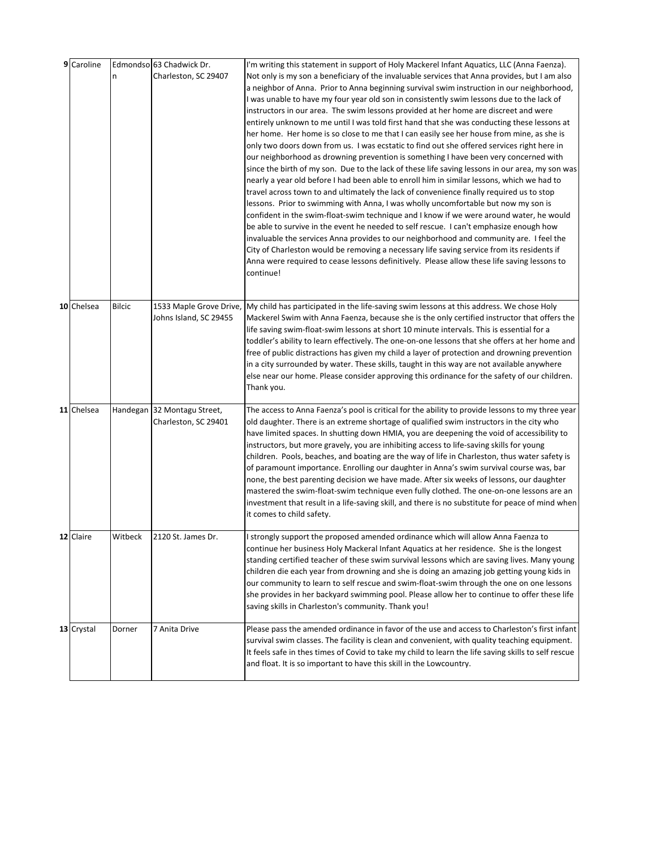| 9 Caroline | n             | Edmondso 63 Chadwick Dr.<br>Charleston, SC 29407    | I'm writing this statement in support of Holy Mackerel Infant Aquatics, LLC (Anna Faenza).<br>Not only is my son a beneficiary of the invaluable services that Anna provides, but I am also<br>a neighbor of Anna. Prior to Anna beginning survival swim instruction in our neighborhood,<br>I was unable to have my four year old son in consistently swim lessons due to the lack of<br>instructors in our area. The swim lessons provided at her home are discreet and were<br>entirely unknown to me until I was told first hand that she was conducting these lessons at<br>her home. Her home is so close to me that I can easily see her house from mine, as she is<br>only two doors down from us. I was ecstatic to find out she offered services right here in<br>our neighborhood as drowning prevention is something I have been very concerned with<br>since the birth of my son. Due to the lack of these life saving lessons in our area, my son was<br>nearly a year old before I had been able to enroll him in similar lessons, which we had to<br>travel across town to and ultimately the lack of convenience finally required us to stop<br>lessons. Prior to swimming with Anna, I was wholly uncomfortable but now my son is |
|------------|---------------|-----------------------------------------------------|-----------------------------------------------------------------------------------------------------------------------------------------------------------------------------------------------------------------------------------------------------------------------------------------------------------------------------------------------------------------------------------------------------------------------------------------------------------------------------------------------------------------------------------------------------------------------------------------------------------------------------------------------------------------------------------------------------------------------------------------------------------------------------------------------------------------------------------------------------------------------------------------------------------------------------------------------------------------------------------------------------------------------------------------------------------------------------------------------------------------------------------------------------------------------------------------------------------------------------------------------------|
|            |               |                                                     | confident in the swim-float-swim technique and I know if we were around water, he would<br>be able to survive in the event he needed to self rescue. I can't emphasize enough how<br>invaluable the services Anna provides to our neighborhood and community are. I feel the<br>City of Charleston would be removing a necessary life saving service from its residents if<br>Anna were required to cease lessons definitively. Please allow these life saving lessons to<br>continue!                                                                                                                                                                                                                                                                                                                                                                                                                                                                                                                                                                                                                                                                                                                                                              |
| 10 Chelsea | <b>Bilcic</b> | 1533 Maple Grove Drive,<br>Johns Island, SC 29455   | My child has participated in the life-saving swim lessons at this address. We chose Holy<br>Mackerel Swim with Anna Faenza, because she is the only certified instructor that offers the<br>life saving swim-float-swim lessons at short 10 minute intervals. This is essential for a<br>toddler's ability to learn effectively. The one-on-one lessons that she offers at her home and<br>free of public distractions has given my child a layer of protection and drowning prevention<br>in a city surrounded by water. These skills, taught in this way are not available anywhere<br>else near our home. Please consider approving this ordinance for the safety of our children.<br>Thank you.                                                                                                                                                                                                                                                                                                                                                                                                                                                                                                                                                 |
| 11 Chelsea |               | Handegan 32 Montagu Street,<br>Charleston, SC 29401 | The access to Anna Faenza's pool is critical for the ability to provide lessons to my three year<br>old daughter. There is an extreme shortage of qualified swim instructors in the city who<br>have limited spaces. In shutting down HMIA, you are deepening the void of accessibility to<br>instructors, but more gravely, you are inhibiting access to life-saving skills for young<br>children. Pools, beaches, and boating are the way of life in Charleston, thus water safety is<br>of paramount importance. Enrolling our daughter in Anna's swim survival course was, bar<br>none, the best parenting decision we have made. After six weeks of lessons, our daughter<br>mastered the swim-float-swim technique even fully clothed. The one-on-one lessons are an<br>investment that result in a life-saving skill, and there is no substitute for peace of mind when<br>it comes to child safety.                                                                                                                                                                                                                                                                                                                                         |
| 12 Claire  | Witbeck       | 2120 St. James Dr.                                  | I strongly support the proposed amended ordinance which will allow Anna Faenza to<br>continue her business Holy Mackeral Infant Aquatics at her residence. She is the longest<br>standing certified teacher of these swim survival lessons which are saving lives. Many young<br>children die each year from drowning and she is doing an amazing job getting young kids in<br>our community to learn to self rescue and swim-float-swim through the one on one lessons<br>she provides in her backyard swimming pool. Please allow her to continue to offer these life<br>saving skills in Charleston's community. Thank you!                                                                                                                                                                                                                                                                                                                                                                                                                                                                                                                                                                                                                      |
| 13 Crystal | Dorner        | 7 Anita Drive                                       | Please pass the amended ordinance in favor of the use and access to Charleston's first infant<br>survival swim classes. The facility is clean and convenient, with quality teaching equipment.<br>It feels safe in thes times of Covid to take my child to learn the life saving skills to self rescue<br>and float. It is so important to have this skill in the Lowcountry.                                                                                                                                                                                                                                                                                                                                                                                                                                                                                                                                                                                                                                                                                                                                                                                                                                                                       |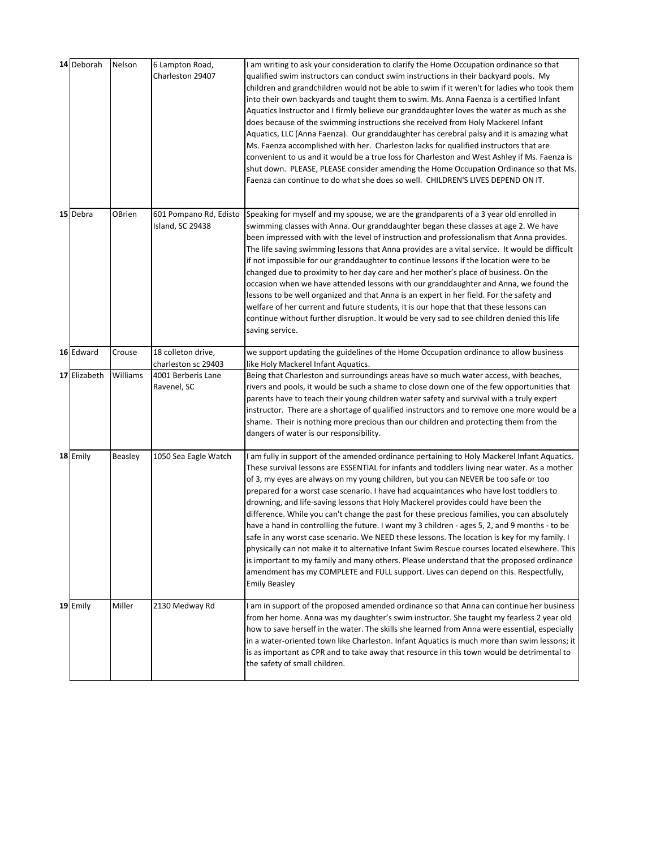| 14 Deborah   | Nelson   | 6 Lampton Road,<br>Charleston 29407                      | I am writing to ask your consideration to clarify the Home Occupation ordinance so that<br>qualified swim instructors can conduct swim instructions in their backyard pools. My<br>children and grandchildren would not be able to swim if it weren't for ladies who took them<br>into their own backyards and taught them to swim. Ms. Anna Faenza is a certified Infant<br>Aquatics Instructor and I firmly believe our granddaughter loves the water as much as she<br>does because of the swimming instructions she received from Holy Mackerel Infant<br>Aquatics, LLC (Anna Faenza). Our granddaughter has cerebral palsy and it is amazing what<br>Ms. Faenza accomplished with her. Charleston lacks for qualified instructors that are<br>convenient to us and it would be a true loss for Charleston and West Ashley if Ms. Faenza is<br>shut down. PLEASE, PLEASE consider amending the Home Occupation Ordinance so that Ms.<br>Faenza can continue to do what she does so well. CHILDREN'S LIVES DEPEND ON IT.                                                  |
|--------------|----------|----------------------------------------------------------|------------------------------------------------------------------------------------------------------------------------------------------------------------------------------------------------------------------------------------------------------------------------------------------------------------------------------------------------------------------------------------------------------------------------------------------------------------------------------------------------------------------------------------------------------------------------------------------------------------------------------------------------------------------------------------------------------------------------------------------------------------------------------------------------------------------------------------------------------------------------------------------------------------------------------------------------------------------------------------------------------------------------------------------------------------------------------|
| 15 Debra     | OBrien   | 601 Pompano Rd, Edisto<br>Island, SC 29438               | Speaking for myself and my spouse, we are the grandparents of a 3 year old enrolled in<br>swimming classes with Anna. Our granddaughter began these classes at age 2. We have<br>been impressed with with the level of instruction and professionalism that Anna provides.<br>The life saving swimming lessons that Anna provides are a vital service. It would be difficult<br>if not impossible for our granddaughter to continue lessons if the location were to be<br>changed due to proximity to her day care and her mother's place of business. On the<br>occasion when we have attended lessons with our granddaughter and Anna, we found the<br>lessons to be well organized and that Anna is an expert in her field. For the safety and<br>welfare of her current and future students, it is our hope that that these lessons can<br>continue without further disruption. It would be very sad to see children denied this life<br>saving service.                                                                                                                 |
| 16 Edward    | Crouse   | 18 colleton drive,                                       | we support updating the guidelines of the Home Occupation ordinance to allow business                                                                                                                                                                                                                                                                                                                                                                                                                                                                                                                                                                                                                                                                                                                                                                                                                                                                                                                                                                                        |
| 17 Elizabeth | Williams | charleston sc 29403<br>4001 Berberis Lane<br>Ravenel, SC | like Holy Mackerel Infant Aquatics.<br>Being that Charleston and surroundings areas have so much water access, with beaches,<br>rivers and pools, it would be such a shame to close down one of the few opportunities that<br>parents have to teach their young children water safety and survival with a truly expert<br>instructor. There are a shortage of qualified instructors and to remove one more would be a<br>shame. Their is nothing more precious than our children and protecting them from the<br>dangers of water is our responsibility.                                                                                                                                                                                                                                                                                                                                                                                                                                                                                                                     |
| 18 Emily     | Beasley  | 1050 Sea Eagle Watch                                     | I am fully in support of the amended ordinance pertaining to Holy Mackerel Infant Aquatics.<br>These survival lessons are ESSENTIAL for infants and toddlers living near water. As a mother<br>of 3, my eyes are always on my young children, but you can NEVER be too safe or too<br>prepared for a worst case scenario. I have had acquaintances who have lost toddlers to<br>drowning, and life-saving lessons that Holy Mackerel provides could have been the<br>difference. While you can't change the past for these precious families, you can absolutely<br>have a hand in controlling the future. I want my 3 children - ages 5, 2, and 9 months - to be<br>safe in any worst case scenario. We NEED these lessons. The location is key for my family. I<br>physically can not make it to alternative Infant Swim Rescue courses located elsewhere. This<br>is important to my family and many others. Please understand that the proposed ordinance<br>amendment has my COMPLETE and FULL support. Lives can depend on this. Respectfully,<br><b>Emily Beasley</b> |
| 19 Emily     | Miller   | 2130 Medway Rd                                           | I am in support of the proposed amended ordinance so that Anna can continue her business<br>from her home. Anna was my daughter's swim instructor. She taught my fearless 2 year old<br>how to save herself in the water. The skills she learned from Anna were essential, especially<br>in a water-oriented town like Charleston. Infant Aquatics is much more than swim lessons; it<br>is as important as CPR and to take away that resource in this town would be detrimental to<br>the safety of small children.                                                                                                                                                                                                                                                                                                                                                                                                                                                                                                                                                         |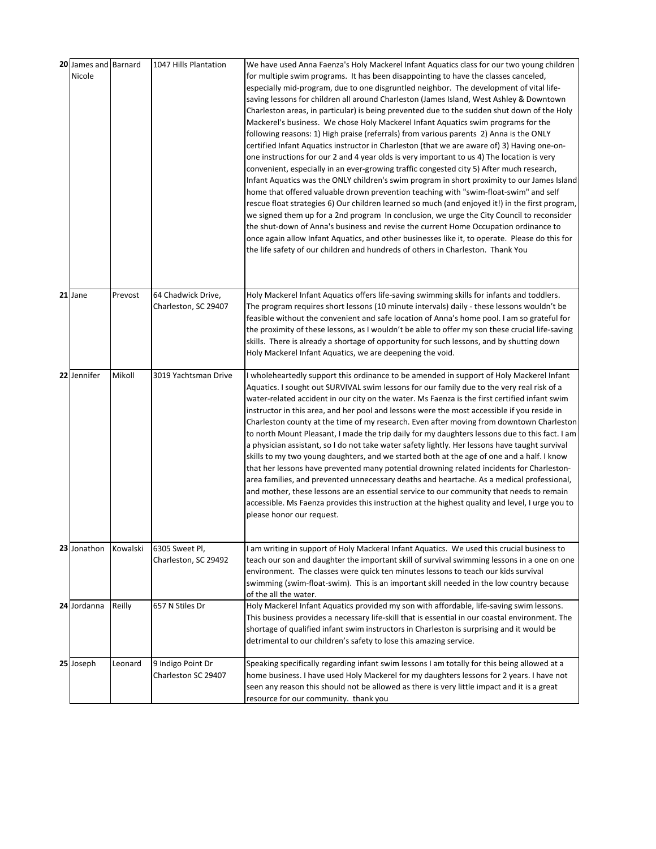| 20 James and Barnard<br>Nicole |          | 1047 Hills Plantation                      | We have used Anna Faenza's Holy Mackerel Infant Aquatics class for our two young children<br>for multiple swim programs. It has been disappointing to have the classes canceled,<br>especially mid-program, due to one disgruntled neighbor. The development of vital life-<br>saving lessons for children all around Charleston (James Island, West Ashley & Downtown<br>Charleston areas, in particular) is being prevented due to the sudden shut down of the Holy<br>Mackerel's business. We chose Holy Mackerel Infant Aquatics swim programs for the<br>following reasons: 1) High praise (referrals) from various parents 2) Anna is the ONLY<br>certified Infant Aquatics instructor in Charleston (that we are aware of) 3) Having one-on-<br>one instructions for our 2 and 4 year olds is very important to us 4) The location is very<br>convenient, especially in an ever-growing traffic congested city 5) After much research,<br>Infant Aquatics was the ONLY children's swim program in short proximity to our James Island<br>home that offered valuable drown prevention teaching with "swim-float-swim" and self<br>rescue float strategies 6) Our children learned so much (and enjoyed it!) in the first program,<br>we signed them up for a 2nd program In conclusion, we urge the City Council to reconsider<br>the shut-down of Anna's business and revise the current Home Occupation ordinance to<br>once again allow Infant Aquatics, and other businesses like it, to operate. Please do this for<br>the life safety of our children and hundreds of others in Charleston. Thank You |
|--------------------------------|----------|--------------------------------------------|-------------------------------------------------------------------------------------------------------------------------------------------------------------------------------------------------------------------------------------------------------------------------------------------------------------------------------------------------------------------------------------------------------------------------------------------------------------------------------------------------------------------------------------------------------------------------------------------------------------------------------------------------------------------------------------------------------------------------------------------------------------------------------------------------------------------------------------------------------------------------------------------------------------------------------------------------------------------------------------------------------------------------------------------------------------------------------------------------------------------------------------------------------------------------------------------------------------------------------------------------------------------------------------------------------------------------------------------------------------------------------------------------------------------------------------------------------------------------------------------------------------------------------------------------------------------------------------------------------------------|
| 21 Jane                        | Prevost  | 64 Chadwick Drive,<br>Charleston, SC 29407 | Holy Mackerel Infant Aquatics offers life-saving swimming skills for infants and toddlers.<br>The program requires short lessons (10 minute intervals) daily - these lessons wouldn't be<br>feasible without the convenient and safe location of Anna's home pool. I am so grateful for<br>the proximity of these lessons, as I wouldn't be able to offer my son these crucial life-saving<br>skills. There is already a shortage of opportunity for such lessons, and by shutting down<br>Holy Mackerel Infant Aquatics, we are deepening the void.                                                                                                                                                                                                                                                                                                                                                                                                                                                                                                                                                                                                                                                                                                                                                                                                                                                                                                                                                                                                                                                              |
| 22 Jennifer                    | Mikoll   | 3019 Yachtsman Drive                       | I wholeheartedly support this ordinance to be amended in support of Holy Mackerel Infant<br>Aquatics. I sought out SURVIVAL swim lessons for our family due to the very real risk of a<br>water-related accident in our city on the water. Ms Faenza is the first certified infant swim<br>instructor in this area, and her pool and lessons were the most accessible if you reside in<br>Charleston county at the time of my research. Even after moving from downtown Charleston<br>to north Mount Pleasant, I made the trip daily for my daughters lessons due to this fact. I am<br>a physician assistant, so I do not take water safety lightly. Her lessons have taught survival<br>skills to my two young daughters, and we started both at the age of one and a half. I know<br>that her lessons have prevented many potential drowning related incidents for Charleston-<br>area families, and prevented unnecessary deaths and heartache. As a medical professional,<br>and mother, these lessons are an essential service to our community that needs to remain<br>accessible. Ms Faenza provides this instruction at the highest quality and level, I urge you to<br>please honor our request.                                                                                                                                                                                                                                                                                                                                                                                                        |
| 23 Jonathon                    | Kowalski | 6305 Sweet Pl,<br>Charleston, SC 29492     | I am writing in support of Holy Mackeral Infant Aquatics. We used this crucial business to<br>teach our son and daughter the important skill of survival swimming lessons in a one on one<br>environment. The classes were quick ten minutes lessons to teach our kids survival<br>swimming (swim-float-swim). This is an important skill needed in the low country because<br>of the all the water.                                                                                                                                                                                                                                                                                                                                                                                                                                                                                                                                                                                                                                                                                                                                                                                                                                                                                                                                                                                                                                                                                                                                                                                                              |
| 24 Jordanna                    | Reilly   | 657 N Stiles Dr                            | Holy Mackerel Infant Aquatics provided my son with affordable, life-saving swim lessons.<br>This business provides a necessary life-skill that is essential in our coastal environment. The<br>shortage of qualified infant swim instructors in Charleston is surprising and it would be<br>detrimental to our children's safety to lose this amazing service.                                                                                                                                                                                                                                                                                                                                                                                                                                                                                                                                                                                                                                                                                                                                                                                                                                                                                                                                                                                                                                                                                                                                                                                                                                                    |
| 25 Joseph                      | Leonard  | 9 Indigo Point Dr<br>Charleston SC 29407   | Speaking specifically regarding infant swim lessons I am totally for this being allowed at a<br>home business. I have used Holy Mackerel for my daughters lessons for 2 years. I have not<br>seen any reason this should not be allowed as there is very little impact and it is a great<br>resource for our community. thank you                                                                                                                                                                                                                                                                                                                                                                                                                                                                                                                                                                                                                                                                                                                                                                                                                                                                                                                                                                                                                                                                                                                                                                                                                                                                                 |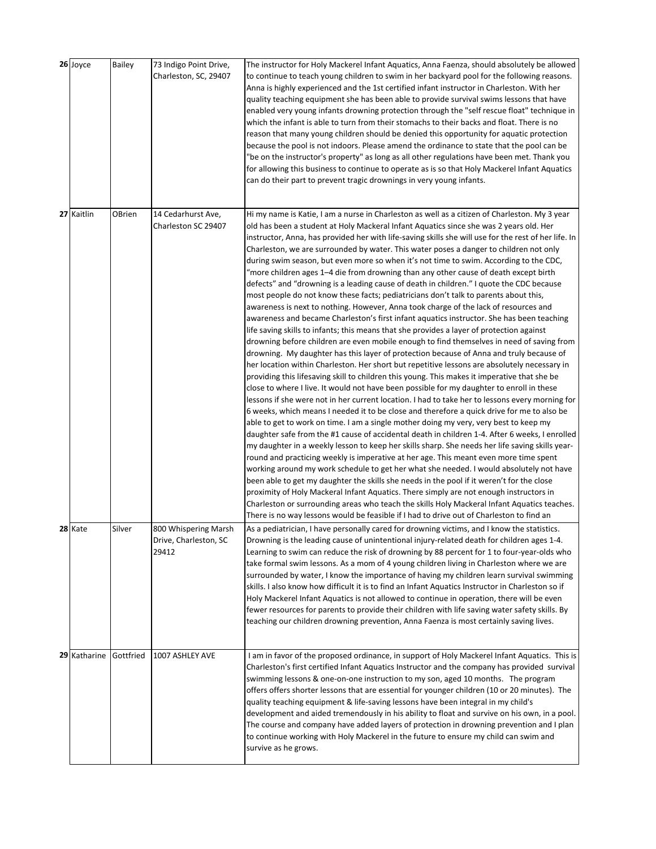| 26 Joyce     | Bailey    | 73 Indigo Point Drive,<br>Charleston, SC, 29407        | The instructor for Holy Mackerel Infant Aquatics, Anna Faenza, should absolutely be allowed<br>to continue to teach young children to swim in her backyard pool for the following reasons.<br>Anna is highly experienced and the 1st certified infant instructor in Charleston. With her<br>quality teaching equipment she has been able to provide survival swims lessons that have<br>enabled very young infants drowning protection through the "self rescue float" technique in<br>which the infant is able to turn from their stomachs to their backs and float. There is no<br>reason that many young children should be denied this opportunity for aquatic protection<br>because the pool is not indoors. Please amend the ordinance to state that the pool can be<br>"be on the instructor's property" as long as all other regulations have been met. Thank you<br>for allowing this business to continue to operate as is so that Holy Mackerel Infant Aquatics<br>can do their part to prevent tragic drownings in very young infants.                                                                                                                                                                                                                                                                                                                                                                                                                                                                                                                                                                                                                                                                                                                                                                                                                                                                                                                                                                                                                                                                                                                                                                                                                                                                                                                                                                                                                                                                                                                                                          |
|--------------|-----------|--------------------------------------------------------|-------------------------------------------------------------------------------------------------------------------------------------------------------------------------------------------------------------------------------------------------------------------------------------------------------------------------------------------------------------------------------------------------------------------------------------------------------------------------------------------------------------------------------------------------------------------------------------------------------------------------------------------------------------------------------------------------------------------------------------------------------------------------------------------------------------------------------------------------------------------------------------------------------------------------------------------------------------------------------------------------------------------------------------------------------------------------------------------------------------------------------------------------------------------------------------------------------------------------------------------------------------------------------------------------------------------------------------------------------------------------------------------------------------------------------------------------------------------------------------------------------------------------------------------------------------------------------------------------------------------------------------------------------------------------------------------------------------------------------------------------------------------------------------------------------------------------------------------------------------------------------------------------------------------------------------------------------------------------------------------------------------------------------------------------------------------------------------------------------------------------------------------------------------------------------------------------------------------------------------------------------------------------------------------------------------------------------------------------------------------------------------------------------------------------------------------------------------------------------------------------------------------------------------------------------------------------------------------------------------|
| 27 Kaitlin   | OBrien    | 14 Cedarhurst Ave,<br>Charleston SC 29407              | Hi my name is Katie, I am a nurse in Charleston as well as a citizen of Charleston. My 3 year<br>old has been a student at Holy Mackeral Infant Aquatics since she was 2 years old. Her<br>instructor, Anna, has provided her with life-saving skills she will use for the rest of her life. In<br>Charleston, we are surrounded by water. This water poses a danger to children not only<br>during swim season, but even more so when it's not time to swim. According to the CDC,<br>"more children ages 1-4 die from drowning than any other cause of death except birth<br>defects" and "drowning is a leading cause of death in children." I quote the CDC because<br>most people do not know these facts; pediatricians don't talk to parents about this,<br>awareness is next to nothing. However, Anna took charge of the lack of resources and<br>awareness and became Charleston's first infant aquatics instructor. She has been teaching<br>life saving skills to infants; this means that she provides a layer of protection against<br>drowning before children are even mobile enough to find themselves in need of saving from<br>drowning. My daughter has this layer of protection because of Anna and truly because of<br>her location within Charleston. Her short but repetitive lessons are absolutely necessary in<br>providing this lifesaving skill to children this young. This makes it imperative that she be<br>close to where I live. It would not have been possible for my daughter to enroll in these<br>lessons if she were not in her current location. I had to take her to lessons every morning for<br>6 weeks, which means I needed it to be close and therefore a quick drive for me to also be<br>able to get to work on time. I am a single mother doing my very, very best to keep my<br>daughter safe from the #1 cause of accidental death in children 1-4. After 6 weeks, I enrolled<br>my daughter in a weekly lesson to keep her skills sharp. She needs her life saving skills year-<br>round and practicing weekly is imperative at her age. This meant even more time spent<br>working around my work schedule to get her what she needed. I would absolutely not have<br>been able to get my daughter the skills she needs in the pool if it weren't for the close<br>proximity of Holy Mackeral Infant Aquatics. There simply are not enough instructors in<br>Charleston or surrounding areas who teach the skills Holy Mackeral Infant Aquatics teaches.<br>There is no way lessons would be feasible if I had to drive out of Charleston to find an |
| 28 Kate      | Silver    | 800 Whispering Marsh<br>Drive, Charleston, SC<br>29412 | As a pediatrician, I have personally cared for drowning victims, and I know the statistics.<br>Drowning is the leading cause of unintentional injury-related death for children ages 1-4.<br>Learning to swim can reduce the risk of drowning by 88 percent for 1 to four-year-olds who<br>take formal swim lessons. As a mom of 4 young children living in Charleston where we are<br>surrounded by water, I know the importance of having my children learn survival swimming<br>skills. I also know how difficult it is to find an Infant Aquatics Instructor in Charleston so if<br>Holy Mackerel Infant Aquatics is not allowed to continue in operation, there will be even<br>fewer resources for parents to provide their children with life saving water safety skills. By<br>teaching our children drowning prevention, Anna Faenza is most certainly saving lives.                                                                                                                                                                                                                                                                                                                                                                                                                                                                                                                                                                                                                                                                                                                                                                                                                                                                                                                                                                                                                                                                                                                                                                                                                                                                                                                                                                                                                                                                                                                                                                                                                                                                                                                               |
| 29 Katharine | Gottfried | 1007 ASHLEY AVE                                        | I am in favor of the proposed ordinance, in support of Holy Mackerel Infant Aquatics. This is<br>Charleston's first certified Infant Aquatics Instructor and the company has provided survival<br>swimming lessons & one-on-one instruction to my son, aged 10 months. The program<br>offers offers shorter lessons that are essential for younger children (10 or 20 minutes). The<br>quality teaching equipment & life-saving lessons have been integral in my child's<br>development and aided tremendously in his ability to float and survive on his own, in a pool.<br>The course and company have added layers of protection in drowning prevention and I plan<br>to continue working with Holy Mackerel in the future to ensure my child can swim and<br>survive as he grows.                                                                                                                                                                                                                                                                                                                                                                                                                                                                                                                                                                                                                                                                                                                                                                                                                                                                                                                                                                                                                                                                                                                                                                                                                                                                                                                                                                                                                                                                                                                                                                                                                                                                                                                                                                                                                       |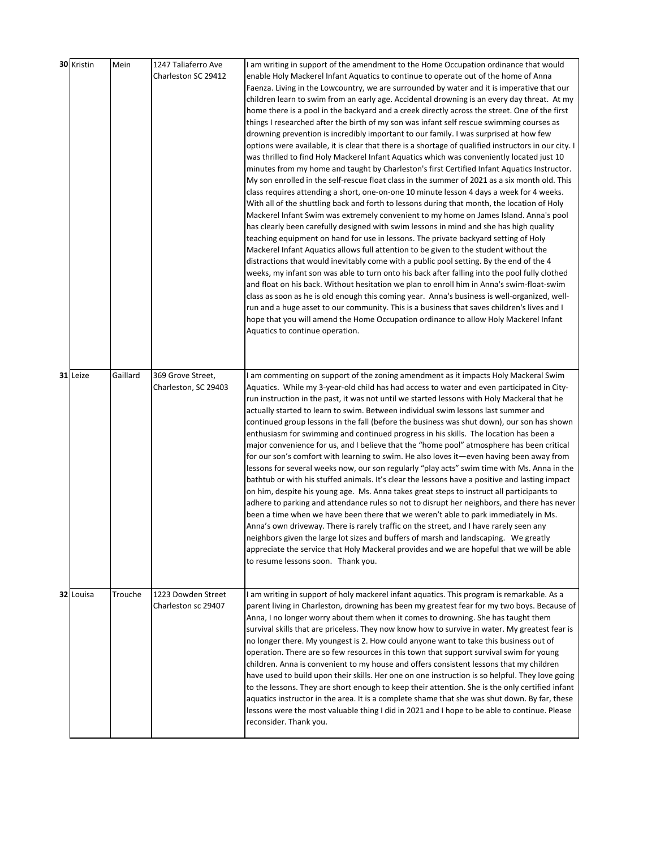| 30 Kristin | Mein     | 1247 Taliaferro Ave<br>Charleston SC 29412 | I am writing in support of the amendment to the Home Occupation ordinance that would<br>enable Holy Mackerel Infant Aquatics to continue to operate out of the home of Anna<br>Faenza. Living in the Lowcountry, we are surrounded by water and it is imperative that our<br>children learn to swim from an early age. Accidental drowning is an every day threat. At my<br>home there is a pool in the backyard and a creek directly across the street. One of the first<br>things I researched after the birth of my son was infant self rescue swimming courses as<br>drowning prevention is incredibly important to our family. I was surprised at how few<br>options were available, it is clear that there is a shortage of qualified instructors in our city. I<br>was thrilled to find Holy Mackerel Infant Aquatics which was conveniently located just 10<br>minutes from my home and taught by Charleston's first Certified Infant Aquatics Instructor.<br>My son enrolled in the self-rescue float class in the summer of 2021 as a six month old. This<br>class requires attending a short, one-on-one 10 minute lesson 4 days a week for 4 weeks.<br>With all of the shuttling back and forth to lessons during that month, the location of Holy<br>Mackerel Infant Swim was extremely convenient to my home on James Island. Anna's pool<br>has clearly been carefully designed with swim lessons in mind and she has high quality<br>teaching equipment on hand for use in lessons. The private backyard setting of Holy<br>Mackerel Infant Aquatics allows full attention to be given to the student without the<br>distractions that would inevitably come with a public pool setting. By the end of the 4<br>weeks, my infant son was able to turn onto his back after falling into the pool fully clothed<br>and float on his back. Without hesitation we plan to enroll him in Anna's swim-float-swim<br>class as soon as he is old enough this coming year. Anna's business is well-organized, well-<br>run and a huge asset to our community. This is a business that saves children's lives and I<br>hope that you will amend the Home Occupation ordinance to allow Holy Mackerel Infant<br>Aquatics to continue operation. |
|------------|----------|--------------------------------------------|------------------------------------------------------------------------------------------------------------------------------------------------------------------------------------------------------------------------------------------------------------------------------------------------------------------------------------------------------------------------------------------------------------------------------------------------------------------------------------------------------------------------------------------------------------------------------------------------------------------------------------------------------------------------------------------------------------------------------------------------------------------------------------------------------------------------------------------------------------------------------------------------------------------------------------------------------------------------------------------------------------------------------------------------------------------------------------------------------------------------------------------------------------------------------------------------------------------------------------------------------------------------------------------------------------------------------------------------------------------------------------------------------------------------------------------------------------------------------------------------------------------------------------------------------------------------------------------------------------------------------------------------------------------------------------------------------------------------------------------------------------------------------------------------------------------------------------------------------------------------------------------------------------------------------------------------------------------------------------------------------------------------------------------------------------------------------------------------------------------------------------------------------------------------------------------------------------------------------------------------------|
| 31 Leize   | Gaillard | 369 Grove Street,<br>Charleston, SC 29403  | I am commenting on support of the zoning amendment as it impacts Holy Mackeral Swim<br>Aquatics. While my 3-year-old child has had access to water and even participated in City-<br>run instruction in the past, it was not until we started lessons with Holy Mackeral that he<br>actually started to learn to swim. Between individual swim lessons last summer and<br>continued group lessons in the fall (before the business was shut down), our son has shown<br>enthusiasm for swimming and continued progress in his skills. The location has been a<br>major convenience for us, and I believe that the "home pool" atmosphere has been critical<br>for our son's comfort with learning to swim. He also loves it—even having been away from<br>lessons for several weeks now, our son regularly "play acts" swim time with Ms. Anna in the<br>bathtub or with his stuffed animals. It's clear the lessons have a positive and lasting impact<br>on him, despite his young age. Ms. Anna takes great steps to instruct all participants to<br>adhere to parking and attendance rules so not to disrupt her neighbors, and there has never<br>been a time when we have been there that we weren't able to park immediately in Ms.<br>Anna's own driveway. There is rarely traffic on the street, and I have rarely seen any<br>neighbors given the large lot sizes and buffers of marsh and landscaping. We greatly<br>appreciate the service that Holy Mackeral provides and we are hopeful that we will be able<br>to resume lessons soon. Thank you.                                                                                                                                                                                                                                                                                                                                                                                                                                                                                                                                                                                                                                                                                     |
| 32 Louisa  | Trouche  | 1223 Dowden Street<br>Charleston sc 29407  | I am writing in support of holy mackerel infant aquatics. This program is remarkable. As a<br>parent living in Charleston, drowning has been my greatest fear for my two boys. Because of<br>Anna, I no longer worry about them when it comes to drowning. She has taught them<br>survival skills that are priceless. They now know how to survive in water. My greatest fear is<br>no longer there. My youngest is 2. How could anyone want to take this business out of<br>operation. There are so few resources in this town that support survival swim for young<br>children. Anna is convenient to my house and offers consistent lessons that my children<br>have used to build upon their skills. Her one on one instruction is so helpful. They love going<br>to the lessons. They are short enough to keep their attention. She is the only certified infant<br>aquatics instructor in the area. It is a complete shame that she was shut down. By far, these<br>lessons were the most valuable thing I did in 2021 and I hope to be able to continue. Please<br>reconsider. Thank you.                                                                                                                                                                                                                                                                                                                                                                                                                                                                                                                                                                                                                                                                                                                                                                                                                                                                                                                                                                                                                                                                                                                                                     |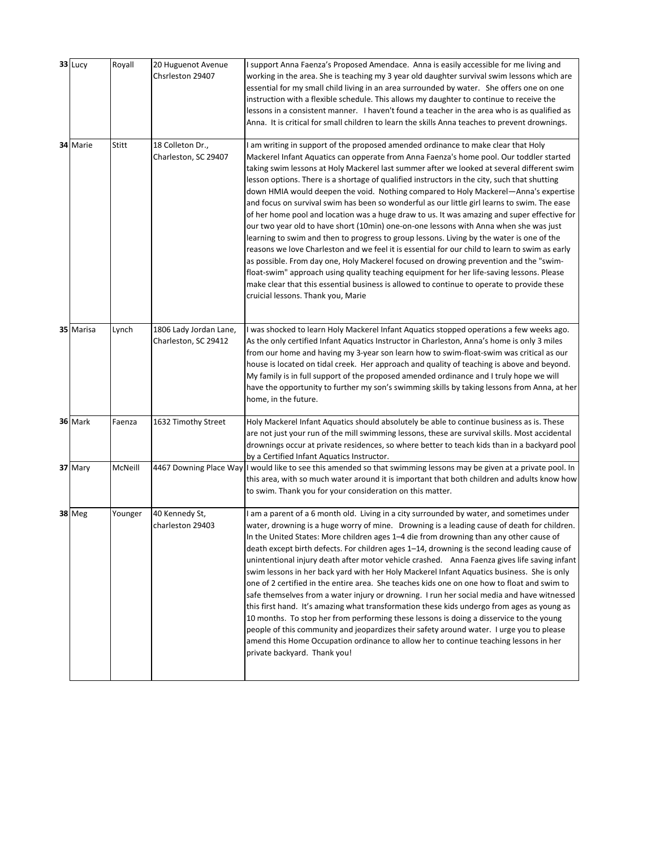| 33 Lucy       | Royall  | 20 Huguenot Avenue<br>Chsrleston 29407         | I support Anna Faenza's Proposed Amendace. Anna is easily accessible for me living and<br>working in the area. She is teaching my 3 year old daughter survival swim lessons which are<br>essential for my small child living in an area surrounded by water. She offers one on one<br>instruction with a flexible schedule. This allows my daughter to continue to receive the<br>lessons in a consistent manner. I haven't found a teacher in the area who is as qualified as<br>Anna. It is critical for small children to learn the skills Anna teaches to prevent drownings.                                                                                                                                                                                                                                                                                                                                                                                                                                                                                                                                                                                                                                                                                                   |
|---------------|---------|------------------------------------------------|------------------------------------------------------------------------------------------------------------------------------------------------------------------------------------------------------------------------------------------------------------------------------------------------------------------------------------------------------------------------------------------------------------------------------------------------------------------------------------------------------------------------------------------------------------------------------------------------------------------------------------------------------------------------------------------------------------------------------------------------------------------------------------------------------------------------------------------------------------------------------------------------------------------------------------------------------------------------------------------------------------------------------------------------------------------------------------------------------------------------------------------------------------------------------------------------------------------------------------------------------------------------------------|
| 34 Marie      | Stitt   | 18 Colleton Dr.,<br>Charleston, SC 29407       | I am writing in support of the proposed amended ordinance to make clear that Holy<br>Mackerel Infant Aquatics can opperate from Anna Faenza's home pool. Our toddler started<br>taking swim lessons at Holy Mackerel last summer after we looked at several different swim<br>lesson options. There is a shortage of qualified instructors in the city, such that shutting<br>down HMIA would deepen the void. Nothing compared to Holy Mackerel-Anna's expertise<br>and focus on survival swim has been so wonderful as our little girl learns to swim. The ease<br>of her home pool and location was a huge draw to us. It was amazing and super effective for<br>our two year old to have short (10min) one-on-one lessons with Anna when she was just<br>learning to swim and then to progress to group lessons. Living by the water is one of the<br>reasons we love Charleston and we feel it is essential for our child to learn to swim as early<br>as possible. From day one, Holy Mackerel focused on drowing prevention and the "swim-<br>float-swim" approach using quality teaching equipment for her life-saving lessons. Please<br>make clear that this essential business is allowed to continue to operate to provide these<br>cruicial lessons. Thank you, Marie |
| 35 Marisa     | Lynch   | 1806 Lady Jordan Lane,<br>Charleston, SC 29412 | I was shocked to learn Holy Mackerel Infant Aquatics stopped operations a few weeks ago.<br>As the only certified Infant Aquatics Instructor in Charleston, Anna's home is only 3 miles<br>from our home and having my 3-year son learn how to swim-float-swim was critical as our<br>house is located on tidal creek. Her approach and quality of teaching is above and beyond.<br>My family is in full support of the proposed amended ordinance and I truly hope we will<br>have the opportunity to further my son's swimming skills by taking lessons from Anna, at her<br>home, in the future.                                                                                                                                                                                                                                                                                                                                                                                                                                                                                                                                                                                                                                                                                |
| 36 Mark       | Faenza  | 1632 Timothy Street                            | Holy Mackerel Infant Aquatics should absolutely be able to continue business as is. These<br>are not just your run of the mill swimming lessons, these are survival skills. Most accidental<br>drownings occur at private residences, so where better to teach kids than in a backyard pool<br>by a Certified Infant Aquatics Instructor.                                                                                                                                                                                                                                                                                                                                                                                                                                                                                                                                                                                                                                                                                                                                                                                                                                                                                                                                          |
| 37 Mary       | McNeill |                                                | 4467 Downing Place Way I would like to see this amended so that swimming lessons may be given at a private pool. In<br>this area, with so much water around it is important that both children and adults know how<br>to swim. Thank you for your consideration on this matter.                                                                                                                                                                                                                                                                                                                                                                                                                                                                                                                                                                                                                                                                                                                                                                                                                                                                                                                                                                                                    |
| <b>38 Meg</b> | Younger | 40 Kennedy St,<br>charleston 29403             | I am a parent of a 6 month old. Living in a city surrounded by water, and sometimes under<br>water, drowning is a huge worry of mine. Drowning is a leading cause of death for children.<br>In the United States: More children ages 1–4 die from drowning than any other cause of<br>death except birth defects. For children ages 1-14, drowning is the second leading cause of<br>unintentional injury death after motor vehicle crashed.  Anna Faenza gives life saving infant<br>swim lessons in her back yard with her Holy Mackerel Infant Aquatics business. She is only<br>one of 2 certified in the entire area. She teaches kids one on one how to float and swim to<br>safe themselves from a water injury or drowning. I run her social media and have witnessed<br>this first hand. It's amazing what transformation these kids undergo from ages as young as<br>10 months. To stop her from performing these lessons is doing a disservice to the young<br>people of this community and jeopardizes their safety around water. I urge you to please<br>amend this Home Occupation ordinance to allow her to continue teaching lessons in her<br>private backyard. Thank you!                                                                                        |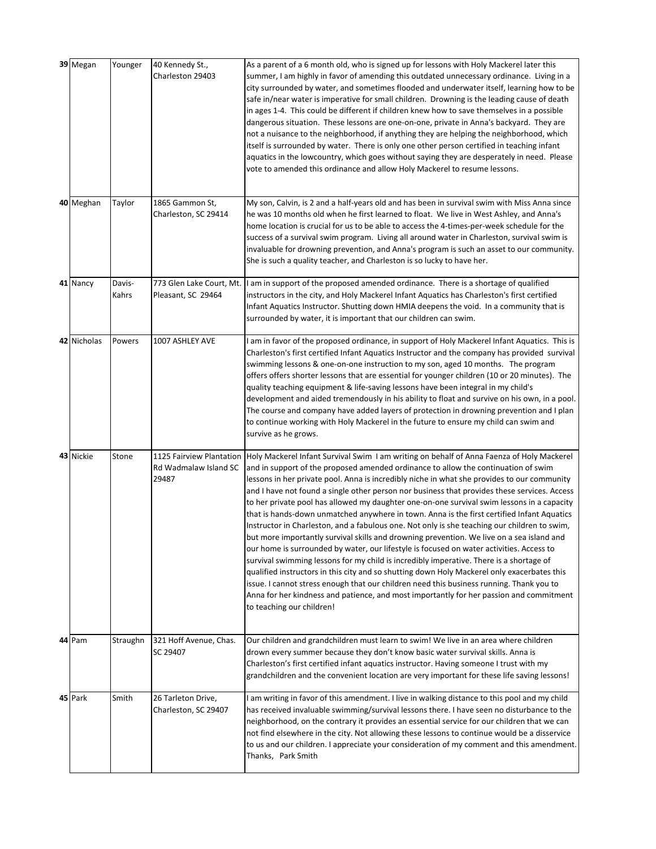| 39 Megan    | Younger         | 40 Kennedy St.,<br>Charleston 29403                        | As a parent of a 6 month old, who is signed up for lessons with Holy Mackerel later this<br>summer, I am highly in favor of amending this outdated unnecessary ordinance. Living in a<br>city surrounded by water, and sometimes flooded and underwater itself, learning how to be<br>safe in/near water is imperative for small children. Drowning is the leading cause of death<br>in ages 1-4. This could be different if children knew how to save themselves in a possible<br>dangerous situation. These lessons are one-on-one, private in Anna's backyard. They are<br>not a nuisance to the neighborhood, if anything they are helping the neighborhood, which<br>itself is surrounded by water. There is only one other person certified in teaching infant<br>aquatics in the lowcountry, which goes without saying they are desperately in need. Please<br>vote to amended this ordinance and allow Holy Mackerel to resume lessons.                                                                                                                                                                                                                                                                                                                                   |
|-------------|-----------------|------------------------------------------------------------|-----------------------------------------------------------------------------------------------------------------------------------------------------------------------------------------------------------------------------------------------------------------------------------------------------------------------------------------------------------------------------------------------------------------------------------------------------------------------------------------------------------------------------------------------------------------------------------------------------------------------------------------------------------------------------------------------------------------------------------------------------------------------------------------------------------------------------------------------------------------------------------------------------------------------------------------------------------------------------------------------------------------------------------------------------------------------------------------------------------------------------------------------------------------------------------------------------------------------------------------------------------------------------------|
| 40 Meghan   | Taylor          | 1865 Gammon St,<br>Charleston, SC 29414                    | My son, Calvin, is 2 and a half-years old and has been in survival swim with Miss Anna since<br>he was 10 months old when he first learned to float. We live in West Ashley, and Anna's<br>home location is crucial for us to be able to access the 4-times-per-week schedule for the<br>success of a survival swim program. Living all around water in Charleston, survival swim is<br>invaluable for drowning prevention, and Anna's program is such an asset to our community.<br>She is such a quality teacher, and Charleston is so lucky to have her.                                                                                                                                                                                                                                                                                                                                                                                                                                                                                                                                                                                                                                                                                                                       |
| 41 Nancy    | Davis-<br>Kahrs | 773 Glen Lake Court, Mt.<br>Pleasant, SC 29464             | I am in support of the proposed amended ordinance. There is a shortage of qualified<br>instructors in the city, and Holy Mackerel Infant Aquatics has Charleston's first certified<br>Infant Aquatics Instructor. Shutting down HMIA deepens the void. In a community that is<br>surrounded by water, it is important that our children can swim.                                                                                                                                                                                                                                                                                                                                                                                                                                                                                                                                                                                                                                                                                                                                                                                                                                                                                                                                 |
| 42 Nicholas | Powers          | 1007 ASHLEY AVE                                            | I am in favor of the proposed ordinance, in support of Holy Mackerel Infant Aquatics. This is<br>Charleston's first certified Infant Aquatics Instructor and the company has provided survival<br>swimming lessons & one-on-one instruction to my son, aged 10 months. The program<br>offers offers shorter lessons that are essential for younger children (10 or 20 minutes). The<br>quality teaching equipment & life-saving lessons have been integral in my child's<br>development and aided tremendously in his ability to float and survive on his own, in a pool.<br>The course and company have added layers of protection in drowning prevention and I plan<br>to continue working with Holy Mackerel in the future to ensure my child can swim and<br>survive as he grows.                                                                                                                                                                                                                                                                                                                                                                                                                                                                                             |
| 43 Nickie   | Stone           | 1125 Fairview Plantation<br>Rd Wadmalaw Island SC<br>29487 | Holy Mackerel Infant Survival Swim I am writing on behalf of Anna Faenza of Holy Mackerel<br>and in support of the proposed amended ordinance to allow the continuation of swim<br>lessons in her private pool. Anna is incredibly niche in what she provides to our community<br>and I have not found a single other person nor business that provides these services. Access<br>to her private pool has allowed my daughter one-on-one survival swim lessons in a capacity<br>that is hands-down unmatched anywhere in town. Anna is the first certified Infant Aquatics<br>Instructor in Charleston, and a fabulous one. Not only is she teaching our children to swim,<br>but more importantly survival skills and drowning prevention. We live on a sea island and<br>our home is surrounded by water, our lifestyle is focused on water activities. Access to<br>survival swimming lessons for my child is incredibly imperative. There is a shortage of<br>qualified instructors in this city and so shutting down Holy Mackerel only exacerbates this<br>issue. I cannot stress enough that our children need this business running. Thank you to<br>Anna for her kindness and patience, and most importantly for her passion and commitment<br>to teaching our children! |
| 44 Pam      | Straughn        | 321 Hoff Avenue, Chas.<br>SC 29407                         | Our children and grandchildren must learn to swim! We live in an area where children<br>drown every summer because they don't know basic water survival skills. Anna is<br>Charleston's first certified infant aquatics instructor. Having someone I trust with my<br>grandchildren and the convenient location are very important for these life saving lessons!                                                                                                                                                                                                                                                                                                                                                                                                                                                                                                                                                                                                                                                                                                                                                                                                                                                                                                                 |
| 45 Park     | Smith           | 26 Tarleton Drive,<br>Charleston, SC 29407                 | I am writing in favor of this amendment. I live in walking distance to this pool and my child<br>has received invaluable swimming/survival lessons there. I have seen no disturbance to the<br>neighborhood, on the contrary it provides an essential service for our children that we can<br>not find elsewhere in the city. Not allowing these lessons to continue would be a disservice<br>to us and our children. I appreciate your consideration of my comment and this amendment.<br>Thanks, Park Smith                                                                                                                                                                                                                                                                                                                                                                                                                                                                                                                                                                                                                                                                                                                                                                     |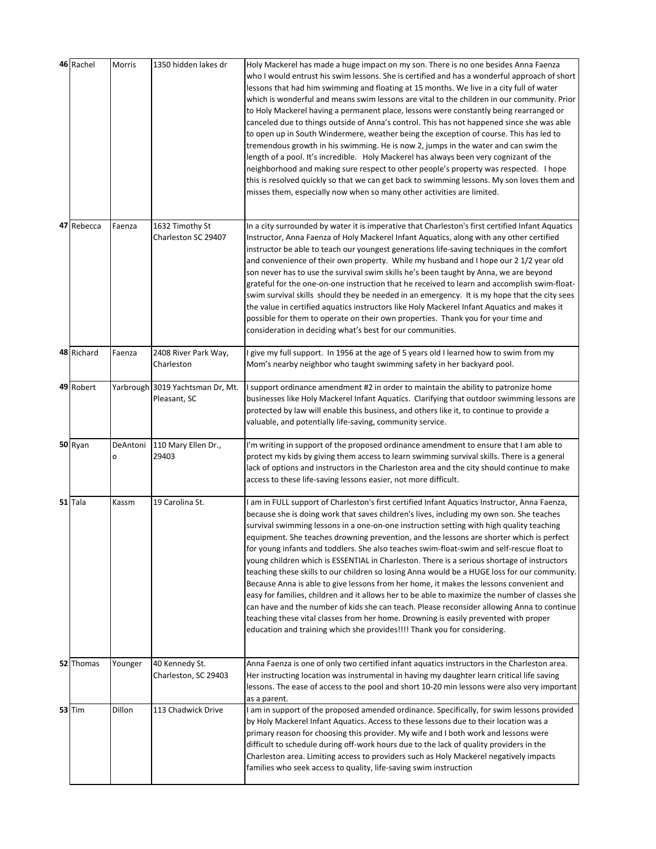| 46 Rachel  | Morris        | 1350 hidden lakes dr                             | Holy Mackerel has made a huge impact on my son. There is no one besides Anna Faenza<br>who I would entrust his swim lessons. She is certified and has a wonderful approach of short<br>lessons that had him swimming and floating at 15 months. We live in a city full of water<br>which is wonderful and means swim lessons are vital to the children in our community. Prior<br>to Holy Mackerel having a permanent place, lessons were constantly being rearranged or<br>canceled due to things outside of Anna's control. This has not happened since she was able<br>to open up in South Windermere, weather being the exception of course. This has led to<br>tremendous growth in his swimming. He is now 2, jumps in the water and can swim the<br>length of a pool. It's incredible. Holy Mackerel has always been very cognizant of the<br>neighborhood and making sure respect to other people's property was respected. I hope<br>this is resolved quickly so that we can get back to swimming lessons. My son loves them and<br>misses them, especially now when so many other activities are limited.                          |
|------------|---------------|--------------------------------------------------|----------------------------------------------------------------------------------------------------------------------------------------------------------------------------------------------------------------------------------------------------------------------------------------------------------------------------------------------------------------------------------------------------------------------------------------------------------------------------------------------------------------------------------------------------------------------------------------------------------------------------------------------------------------------------------------------------------------------------------------------------------------------------------------------------------------------------------------------------------------------------------------------------------------------------------------------------------------------------------------------------------------------------------------------------------------------------------------------------------------------------------------------|
| 47 Rebecca | Faenza        | 1632 Timothy St<br>Charleston SC 29407           | In a city surrounded by water it is imperative that Charleston's first certified Infant Aquatics<br>Instructor, Anna Faenza of Holy Mackerel Infant Aquatics, along with any other certified<br>instructor be able to teach our youngest generations life-saving techniques in the comfort<br>and convenience of their own property. While my husband and I hope our 21/2 year old<br>son never has to use the survival swim skills he's been taught by Anna, we are beyond<br>grateful for the one-on-one instruction that he received to learn and accomplish swim-float-<br>swim survival skills should they be needed in an emergency. It is my hope that the city sees<br>the value in certified aguatics instructors like Holy Mackerel Infant Aguatics and makes it<br>possible for them to operate on their own properties. Thank you for your time and<br>consideration in deciding what's best for our communities.                                                                                                                                                                                                                |
| 48 Richard | Faenza        | 2408 River Park Way,<br>Charleston               | I give my full support. In 1956 at the age of 5 years old I learned how to swim from my<br>Mom's nearby neighbor who taught swimming safety in her backyard pool.                                                                                                                                                                                                                                                                                                                                                                                                                                                                                                                                                                                                                                                                                                                                                                                                                                                                                                                                                                            |
| 49 Robert  |               | Yarbrough 3019 Yachtsman Dr, Mt.<br>Pleasant, SC | I support ordinance amendment #2 in order to maintain the ability to patronize home<br>businesses like Holy Mackerel Infant Aquatics. Clarifying that outdoor swimming lessons are<br>protected by law will enable this business, and others like it, to continue to provide a<br>valuable, and potentially life-saving, community service.                                                                                                                                                                                                                                                                                                                                                                                                                                                                                                                                                                                                                                                                                                                                                                                                  |
| 50 Ryan    | DeAntoni<br>о | 110 Mary Ellen Dr.,<br>29403                     | I'm writing in support of the proposed ordinance amendment to ensure that I am able to<br>protect my kids by giving them access to learn swimming survival skills. There is a general<br>lack of options and instructors in the Charleston area and the city should continue to make<br>access to these life-saving lessons easier, not more difficult.                                                                                                                                                                                                                                                                                                                                                                                                                                                                                                                                                                                                                                                                                                                                                                                      |
| $51$ Tala  | Kassm         | 19 Carolina St.                                  | I am in FULL support of Charleston's first certified Infant Aquatics Instructor, Anna Faenza,<br>because she is doing work that saves children's lives, including my own son. She teaches<br>survival swimming lessons in a one-on-one instruction setting with high quality teaching<br>equipment. She teaches drowning prevention, and the lessons are shorter which is perfect<br>for young infants and toddlers. She also teaches swim-float-swim and self-rescue float to<br>young children which is ESSENTIAL in Charleston. There is a serious shortage of instructors<br>teaching these skills to our children so losing Anna would be a HUGE loss for our community.<br>Because Anna is able to give lessons from her home, it makes the lessons convenient and<br>easy for families, children and it allows her to be able to maximize the number of classes she<br>can have and the number of kids she can teach. Please reconsider allowing Anna to continue<br>teaching these vital classes from her home. Drowning is easily prevented with proper<br>education and training which she provides!!!! Thank you for considering. |
| 52 Thomas  | Younger       | 40 Kennedy St.<br>Charleston, SC 29403           | Anna Faenza is one of only two certified infant aquatics instructors in the Charleston area.<br>Her instructing location was instrumental in having my daughter learn critical life saving<br>lessons. The ease of access to the pool and short 10-20 min lessons were also very important<br>as a parent.                                                                                                                                                                                                                                                                                                                                                                                                                                                                                                                                                                                                                                                                                                                                                                                                                                   |
| $53$ Tim   | Dillon        | 113 Chadwick Drive                               | I am in support of the proposed amended ordinance. Specifically, for swim lessons provided<br>by Holy Mackerel Infant Aquatics. Access to these lessons due to their location was a<br>primary reason for choosing this provider. My wife and I both work and lessons were<br>difficult to schedule during off-work hours due to the lack of quality providers in the<br>Charleston area. Limiting access to providers such as Holy Mackerel negatively impacts<br>families who seek access to quality, life-saving swim instruction                                                                                                                                                                                                                                                                                                                                                                                                                                                                                                                                                                                                         |